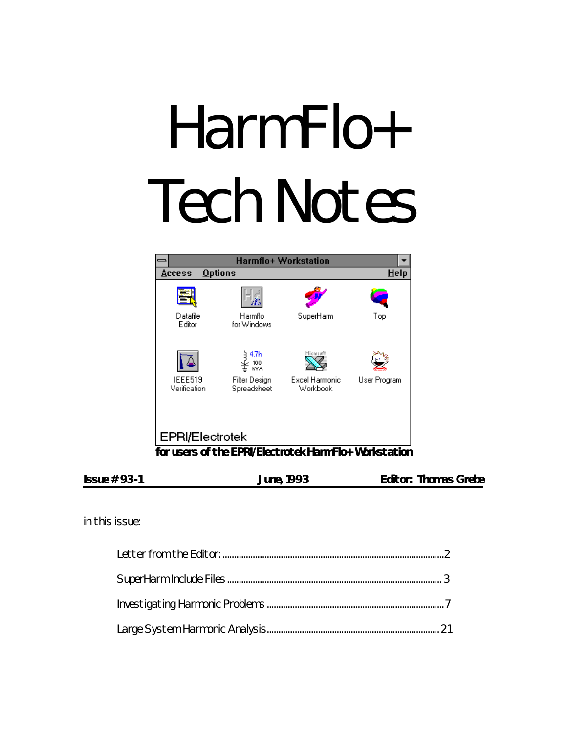# HarmFlo+ Tech Notes



| $Issue # 93-1$ | <b>June, 1993</b> | <b>Editor: Thomas Grebe</b> |  |
|----------------|-------------------|-----------------------------|--|
|                |                   |                             |  |

*in this issue:*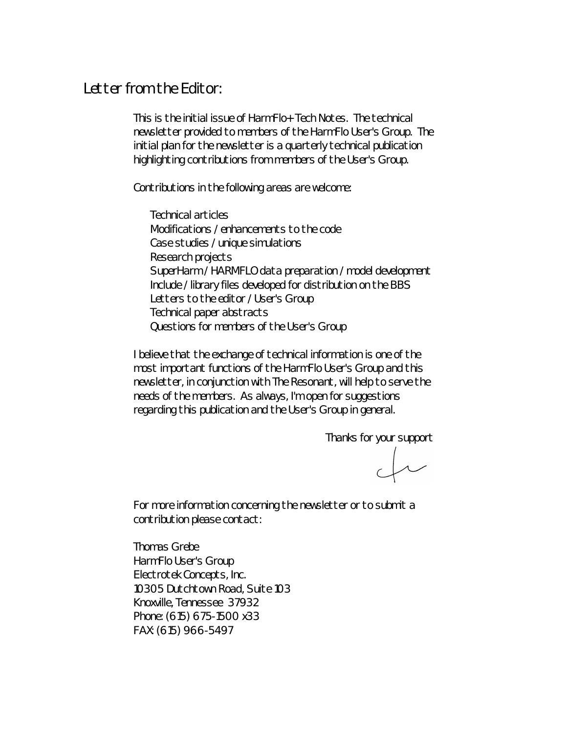## *Letter from the Editor:*

This is the initial issue of *HarmFlo+ Tech Notes*. The technical newsletter provided to members of the HarmFlo User's Group. The initial plan for the newsletter is a quarterly technical publication highlighting contributions from members of the User's Group.

Contributions in the following areas are welcome:

Technical articles Modifications / enhancements to the code Case studies / unique simulations Research projects SuperHarm / HARMFLO data preparation / model development Include / library files developed for distribution on the BBS Letters to the editor / User's Group Technical paper abstracts Questions for members of the User's Group

I believe that the exchange of technical information is one of the most important functions of the HarmFlo User's Group and this newsletter, in conjunction with The Resonant, will help to serve the needs of the members. As always, I'm open for suggestions regarding this publication and the User's Group in general.

Thanks for your support

 $\begin{matrix} \begin{matrix} \end{matrix} \end{matrix}$ 

For more information concerning the newsletter or to submit a contribution please contact:

Thomas Grebe HarmFlo User's Group Electrotek Concepts, Inc. 10305 Dutchtown Road, Suite 103 Knoxville, Tennessee 37932 Phone: (615) 675-1500 x33 FAX: (615) 966-5497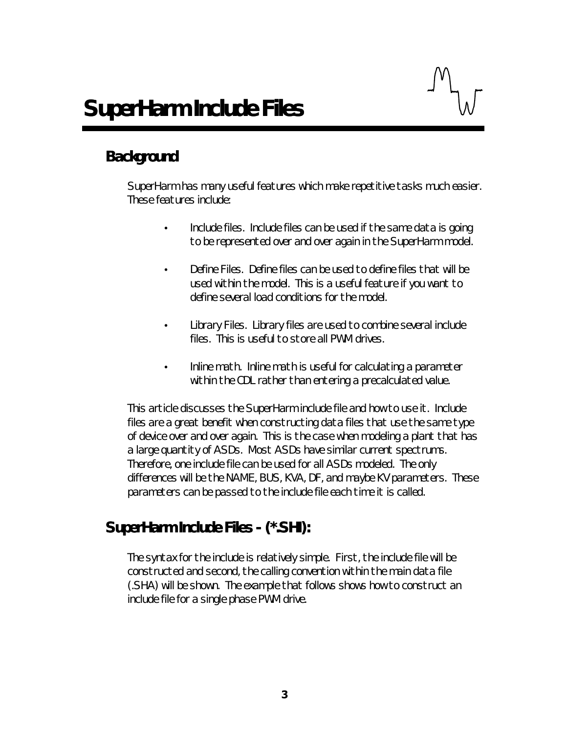# *Background*

SuperHarm has many useful features which make repetitive tasks much easier. These features include:

- Include files. Include files can be used if the same data is going to be represented over and over again in the SuperHarm model.
- Define Files. Define files can be used to define files that will be used within the model. This is a useful feature if you want to define several load conditions for the model.
- Library Files. Library files are used to combine several include files. This is useful to store all PWM drives.
- Inline math. Inline math is useful for calculating a parameter within the CDL rather than entering a precalculated value.

This article discusses the SuperHarm include file and how to use it. Include files are a great benefit when constructing data files that use the same type of device over and over again. This is the case when modeling a plant that has a large quantity of ASDs. Most ASDs have similar current spectrums. Therefore, one include file can be used for all ASDs modeled. The only differences will be the NAME, BUS, KVA, DF, and maybe KV parameters. These parameters can be passed to the include file each time it is called.

# *SuperHarm Include Files - (\*.SHI):*

The syntax for the include is relatively simple. First, the include file will be constructed and second, the calling convention within the main data file (.SHA) will be shown. The example that follows shows how to construct an include file for a single phase PWM drive.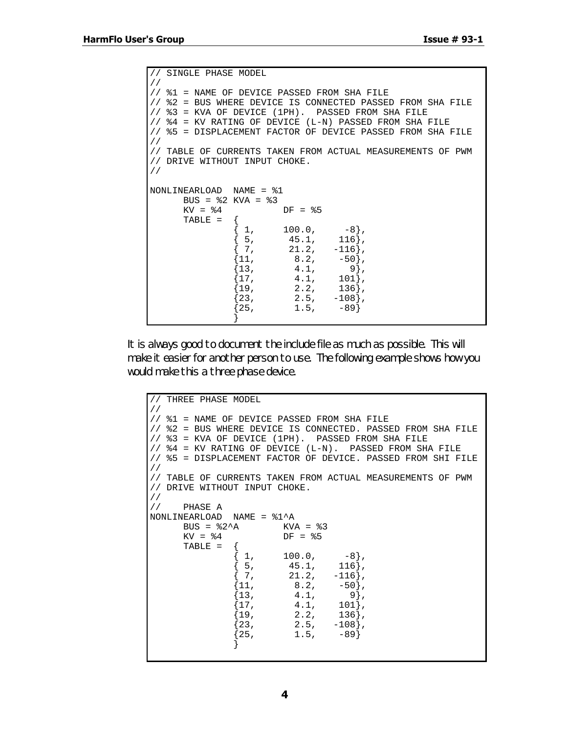```
// SINGLE PHASE MODEL
//
// %1 = NAME OF DEVICE PASSED FROM SHA FILE
// %2 = BUS WHERE DEVICE IS CONNECTED PASSED FROM SHA FILE
// %3 = KVA OF DEVICE (1PH). PASSED FROM SHA FILE
// %4 = KV RATING OF DEVICE (L-N) PASSED FROM SHA FILE
// %5 = DISPLACEMENT FACTOR OF DEVICE PASSED FROM SHA FILE
//
// TABLE OF CURRENTS TAKEN FROM ACTUAL MEASUREMENTS OF PWM
// DRIVE WITHOUT INPUT CHOKE.
//
NONLINEARLOAD NAME = %1
         BUS = \$2 KVA = \$3<br>KV = \$4DF = $5TABLE = \begin{cases} 1, \end{cases}\begin{bmatrix} 1, & 100.0, & -8 \\ 5, & 45.1, & 116 \\ 7, & 21.2, & -116 \end{bmatrix}45.1,<br>21.2,
                         \begin{array}{cc} \left[ \begin{array}{ccc} 7 \, , \quad & 21.2 \, , \quad & -116 \, \right] , \ \left[ 11 \, , \quad & 8 \, .2 \, , \quad & -50 \, \right] , \end{array} \end{array}{11, 8.2, -50},{13, 4.1, 9},\begin{bmatrix} 17,&4.1,&101 \ 19,&2.2,&136 \end{bmatrix},
                         \begin{bmatrix} 1 & 0 \ 19 & 2 \ 23 & 2.5 & -108 \end{bmatrix},
                         \begin{array}{cc} \{23,\quad\quad&2.5,\quad\quad-108\},\ \{25,\quad&1.5,\quad\quad-89\} \end{array}{1.5, -89}}
```
It is always good to document the include file as much as possible. This will make it easier for another person to use. The following example shows how you would make this a three phase device.

```
// THREE PHASE MODEL
//
// %1 = NAME OF DEVICE PASSED FROM SHA FILE
// %2 = BUS WHERE DEVICE IS CONNECTED. PASSED FROM SHA FILE
// %3 = KVA OF DEVICE (1PH). PASSED FROM SHA FILE
// %4 = KV RATING OF DEVICE (L-N). PASSED FROM SHA FILE
// %5 = DISPLACEMENT FACTOR OF DEVICE. PASSED FROM SHI FILE
//
// TABLE OF CURRENTS TAKEN FROM ACTUAL MEASUREMENTS OF PWM
// DRIVE WITHOUT INPUT CHOKE.
//
// PHASE A
\begin{array}{lll} {\tt NONLINEARLOAD} & {\tt NAME} &= $1^AA \\ {\tt BUS} &= $2^AA & {\tt KVA} &= $3 \end{array}BUS = $2^AA<br>KV = $4DF = $5TABLE = \begin{cases} 1, \end{cases}\left. \begin{array}{cc} 100.0 \, , & \quad \quad -8 \} \, , \ 45.1 \, , & \quad \quad 116 \} \, , \end{array} \right.\begin{array}{cccc} \{ & 5, & 45.1, & 116 \}, \ \{ & 7, & 21.2, & -116 \}. \end{array}\begin{array}{cc} \{ 7, & 21.2, \\ \{ 11, & 8.2, \end{array}\begin{array}{ll} \{11, & 8.2, & -50\}, \\ \{13, & 4.1, & 9\}, \end{array}{\frac{4.1}{4.1}},
                             \begin{array}{cccc} \{17, & & 4.1, & 101\}, \ \{19, & & 2.2, & 136\}, \end{array}\begin{array}{cccc} \{19, & & 2.2, & 136\}, \{23, & & 2.5, & -108\}, \end{array}\begin{array}{cccc} \{23, & 2.5, & -108\}, \{25, & 1.5, & -89\} \end{array}{1.5},
                            }
```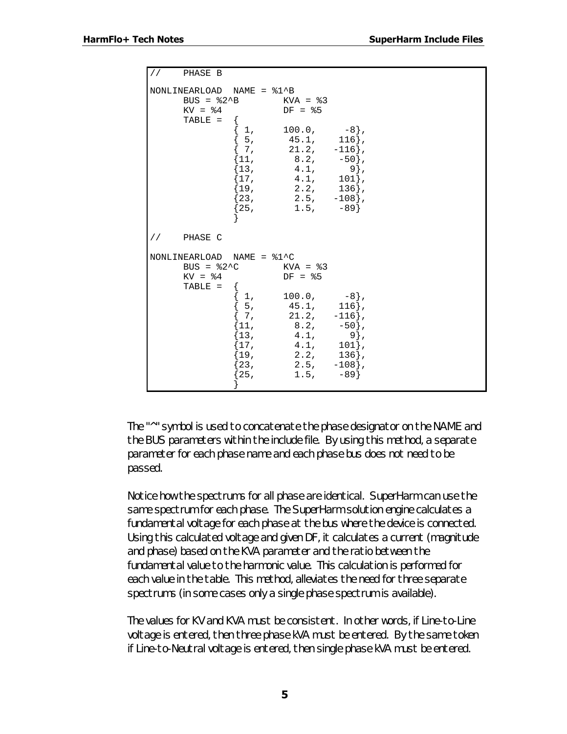```
// PHASE B
NONLINEARLOAD NAME = %1^B
              BUS = 2^2B KVA = 3<br>KV = 4 DF = 5DF = $5TABLE = {
                                     \{ 1, 100.0, -8 \},\{ 5, 45.1, 116 \},\begin{array}{cccc} \{ & 7, & & 21.2, & -116 \}, \ \{ 11, & & 8.2, & -50 \}, \end{array}\begin{array}{cccc} \{11, & 8.2, & -50\}, \{13, & 4.1, & 9\}, \end{array}\begin{array}{cccc} \{13, & 4.1, & 9\}, \[17, & 4.1, & 101\}, \end{array}\begin{array}{cc} \{17,\quad & \quad 4.1,\quad & \quad 101\},\ \{19,\quad & \quad 2.2,\quad & \quad 136\}, \end{array}\begin{cases} 19, & 2.2, \\ 23, & 2.5, \end{cases}{2.5, -108},
                                     {25, \t1.5, -89}}
// PHASE C
NONLINEARLOAD NAME = \$1^{\circ}C<br>BUS = \$2^{\circ}C KVA = \$3BUS = \$2^{\wedge}C<br>KV = \$4DF = <math>85</math>TABLE = {
                                      \begin{bmatrix} 1, & 100.0, & -8 \ 5, & 45.1, & 116 \end{bmatrix},
                                      {\begin{array}{ccc} 5, & \phantom{00}45.1, & \phantom{0}116 \,, \ \phantom{0}7, & \phantom{0}21.2, & \phantom{0}-116 \end{array}}.\begin{array}{cccc} \{ & 7, & & 21.2, & -116 \}, \ \{ 11, & & 8.2, & -50 \}, \end{array}\begin{array}{cc} \{11, & 8.2, & -50\}, \\ \{13, & 4.1, & 9\}, \end{array}\begin{array}{cc} \{13\,,\quad & \quad 4.1\,,\quad & \quad 9\}\,,\ \{17\,,\quad & \quad 4.1\,,\quad & \quad 101\}\,, \end{array}\begin{cases} 17,& 4.1, & 101 \end{cases},\ \begin{cases} 19,& 2.2, & 136 \end{cases},\begin{array}{cc} 19, & 2.2, \\ 23, & 2.5, \end{array}{2.5}, {-108},
                                      {25, \t1.5, -89}}
```
The "^" symbol is used to concatenate the phase designator on the NAME and the BUS parameters within the include file. By using this method, a separate parameter for each phase name and each phase bus does not need to be passed.

Notice how the spectrums for all phase are identical. SuperHarm can use the same spectrum for each phase. The SuperHarm solution engine calculates a fundamental voltage for each phase at the bus where the device is connected. Using this calculated voltage and given DF, it calculates a current (magnitude and phase) based on the KVA parameter and the ratio between the fundamental value to the harmonic value. This calculation is performed for each value in the table. This method, alleviates the need for three separate spectrums (in some cases only a single phase spectrum is available).

The values for KV and KVA must be consistent. In other words, if Line-to-Line voltage is entered, then three phase kVA must be entered. By the same token if Line-to-Neutral voltage is entered, then single phase kVA must be entered.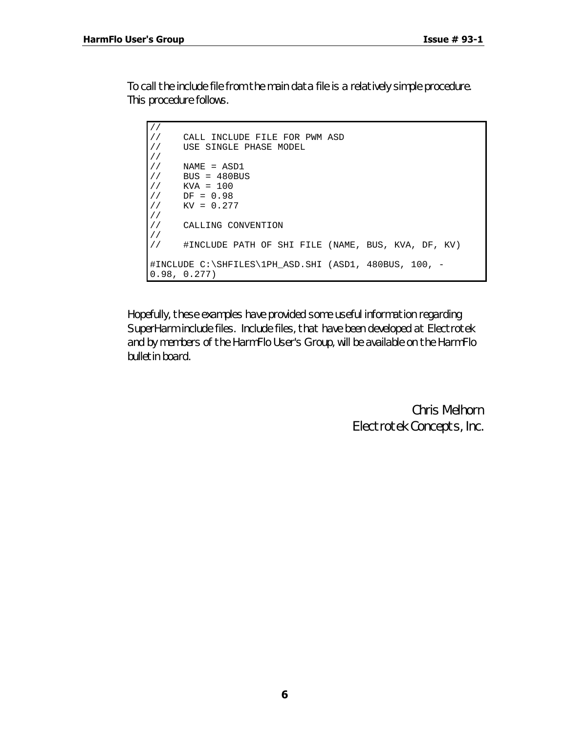To call the include file from the main data file is a relatively simple procedure. This procedure follows.

```
//<br>//
     CALL INCLUDE FILE FOR PWM ASD
// USE SINGLE PHASE MODEL
//
// NAME = ASD1
// BUS = 480BUS
1/ KVA = 100
// DF = 0.98
// KV = 0.277
//
     CALLING CONVENTION
//
     // #INCLUDE PATH OF SHI FILE (NAME, BUS, KVA, DF, KV)
#INCLUDE C:\SHFILES\1PH_ASD.SHI (ASD1, 480BUS, 100, -
0.98, 0.277)
```
Hopefully, these examples have provided some useful information regarding SuperHarm include files. Include files, that have been developed at Electrotek and by members of the HarmFlo User's Group, will be available on the HarmFlo bulletin board.

> *Chris Melhorn Electrotek Concepts, Inc.*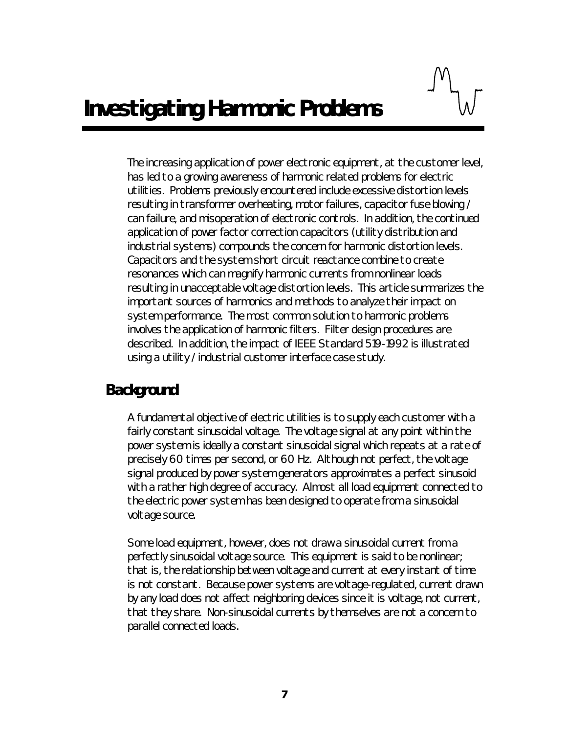The increasing application of power electronic equipment, at the customer level, has led to a growing awareness of harmonic related problems for electric utilities. Problems previously encountered include excessive distortion levels resulting in transformer overheating, motor failures, capacitor fuse blowing / can failure, and misoperation of electronic controls. In addition, the continued application of power factor correction capacitors (utility distribution and industrial systems) compounds the concern for harmonic distortion levels. Capacitors and the system short circuit reactance combine to create resonances which can magnify harmonic currents from nonlinear loads resulting in unacceptable voltage distortion levels. This article summarizes the important sources of harmonics and methods to analyze their impact on system performance. The most common solution to harmonic problems involves the application of harmonic filters. Filter design procedures are described. In addition, the impact of IEEE Standard 519-1992 is illustrated using a utility / industrial customer interface case study.

## *Background*

A fundamental objective of electric utilities is to supply each customer with a fairly constant sinusoidal voltage. The voltage signal at any point within the power system is ideally a constant sinusoidal signal which repeats at a rate of precisely 60 times per second, or 60 Hz. Although not perfect, the voltage signal produced by power system generators approximates a perfect sinusoid with a rather high degree of accuracy. Almost all load equipment connected to the electric power system has been designed to operate from a sinusoidal voltage source.

Some load equipment, however, does not draw a sinusoidal current from a perfectly sinusoidal voltage source. This equipment is said to be nonlinear; that is, the relationship between voltage and current at every instant of time is not constant. Because power systems are voltage-regulated, current drawn by any load does not affect neighboring devices since it is voltage, not current, that they share. Non-sinusoidal currents by themselves are not a concern to parallel connected loads.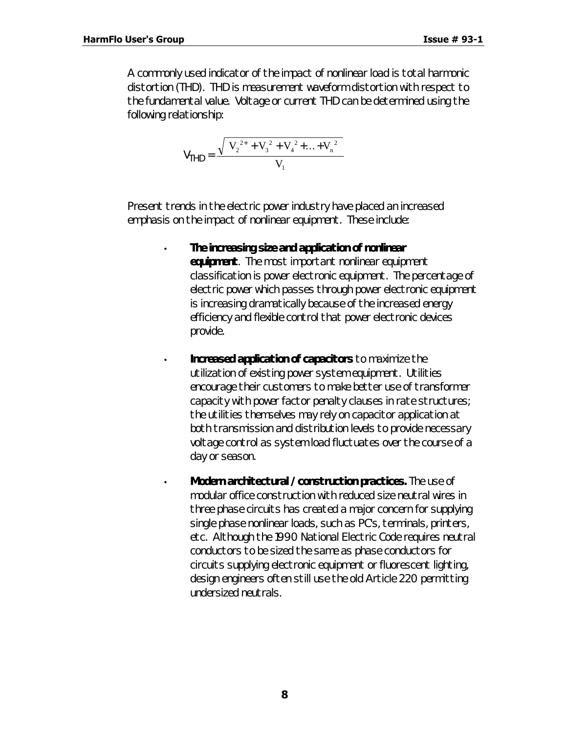A commonly used indicator of the impact of nonlinear load is total harmonic distortion (THD). THD is measurement waveform distortion with respect to the fundamental value. Voltage or current THD can be determined using the following relationship:

$$
V_{\text{THD}} = \frac{\sqrt{V_2^{2+} + V_3^2 + V_4^2 + \dots + V_n^2}}{V_1}
$$

Present trends in the electric power industry have placed an increased emphasis on the impact of nonlinear equipment. These include:

- **The increasing size and application of nonlinear equipment**. The most important nonlinear equipment classification is power electronic equipment. The percentage of electric power which passes through power electronic equipment is increasing dramatically because of the increased energy efficiency and flexible control that power electronic devices provide.
- **Increased application of capacitors** to maximize the utilization of existing power system equipment. Utilities encourage their customers to make better use of transformer capacity with power factor penalty clauses in rate structures; the utilities themselves may rely on capacitor application at both transmission and distribution levels to provide necessary voltage control as system load fluctuates over the course of a day or season.
- **Modern architectural / construction practices.** The use of modular office construction with reduced size neutral wires in three phase circuits has created a major concern for supplying single phase nonlinear loads, such as PC's, terminals, printers, etc. Although the 1990 National Electric Code requires neutral conductors to be sized the same as phase conductors for circuits supplying electronic equipment or fluorescent lighting, design engineers often still use the old Article 220 permitting undersized neutrals.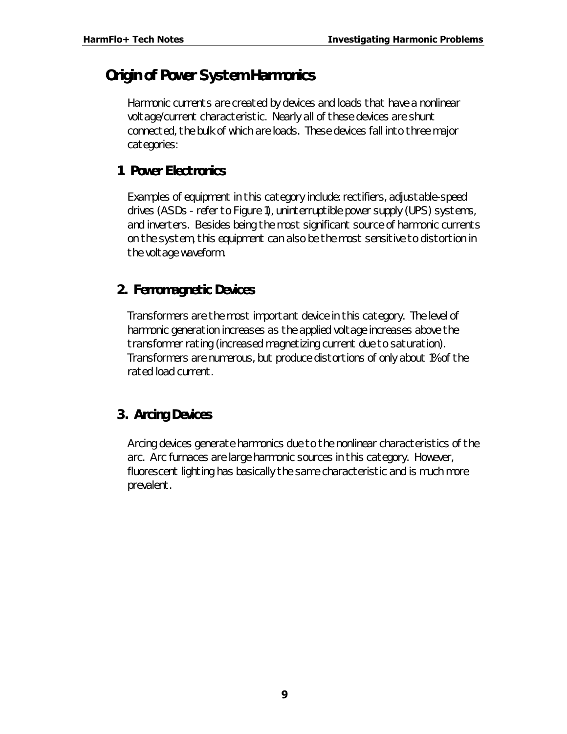# *Origin of Power System Harmonics*

Harmonic currents are created by devices and loads that have a nonlinear voltage/current characteristic. Nearly all of these devices are shunt connected, the bulk of which are loads. These devices fall into three major categories:

#### **1. Power Electronics**

Examples of equipment in this category include: rectifiers, adjustable-speed drives (ASDs - refer to Figure 1), uninterruptible power supply (UPS) systems, and inverters. Besides being the most significant source of harmonic currents on the system, this equipment can also be the most sensitive to distortion in the voltage waveform.

#### **2. Ferromagnetic Devices**

Transformers are the most important device in this category. The level of harmonic generation increases as the applied voltage increases above the transformer rating (increased magnetizing current due to saturation). Transformers are numerous, but produce distortions of only about 1% of the rated load current.

## **3. Arcing Devices**

Arcing devices generate harmonics due to the nonlinear characteristics of the arc. Arc furnaces are large harmonic sources in this category. However, fluorescent lighting has basically the same characteristic and is much more prevalent.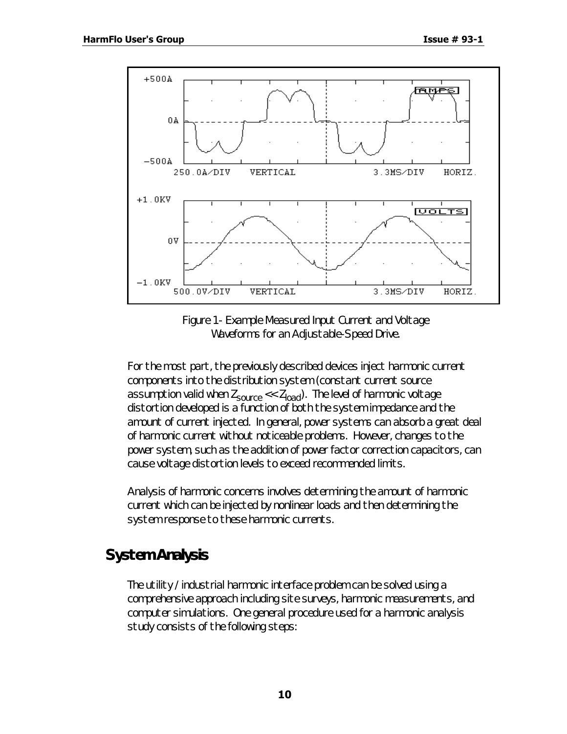

*Figure 1 - Example Measured Input Current and Voltage Waveforms for an Adjustable-Speed Drive.*

For the most part, the previously described devices inject harmonic current components into the distribution system (constant current source assumption valid when  $Z_{\text{source}} \ll Z_{\text{load}}$ ). The level of harmonic voltage distortion developed is a function of both the system impedance and the amount of current injected. In general, power systems can absorb a great deal of harmonic current without noticeable problems. However, changes to the power system, such as the addition of power factor correction capacitors, can cause voltage distortion levels to exceed recommended limits.

Analysis of harmonic concerns involves determining the amount of harmonic current which can be injected by nonlinear loads and then determining the system response to these harmonic currents.

# *System Analysis*

The utility / industrial harmonic interface problem can be solved using a comprehensive approach including site surveys, harmonic measurements, and computer simulations. One general procedure used for a harmonic analysis study consists of the following steps: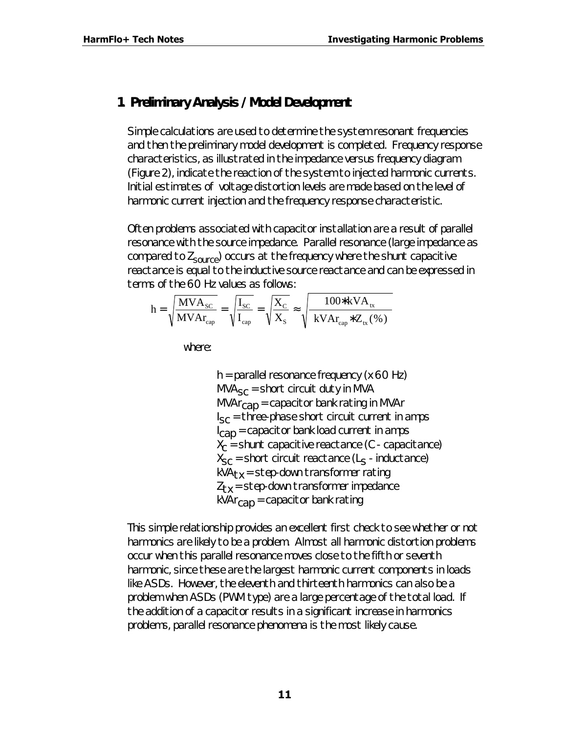#### **1. Preliminary Analysis / Model Development**

Simple calculations are used to determine the system resonant frequencies and then the preliminary model development is completed. Frequency response characteristics, as illustrated in the impedance versus frequency diagram (Figure 2), indicate the reaction of the system to injected harmonic currents. Initial estimates of voltage distortion levels are made based on the level of harmonic current injection and the frequency response characteristic.

Often problems associated with capacitor installation are a result of parallel resonance with the source impedance. Parallel resonance (large impedance as compared to  $Z_{source}$ ) occurs at the frequency where the shunt capacitive reactance is equal to the inductive source reactance and can be expressed in terms of the 60 Hz values as follows:

$$
h = \sqrt{\frac{MVA_{\rm SC}}{MVA_{\rm cap}}} = \sqrt{\frac{I_{\rm SC}}{I_{\rm cap}}} = \sqrt{\frac{X_{\rm C}}{X_{\rm S}}} \approx \sqrt{\frac{100*kVA_{\rm tx}}{kVA_{\rm cap}*Z_{\rm tx}(\%)}}
$$

where:

 $h =$  parallel resonance frequency (x 60 Hz)  $MVA<sub>SC</sub>$  = short circuit duty in MVA  $MVar<sub>can</sub> = capacitor bank rating in MVAr$  $I_{SC}$  = three-phase short circuit current in amps  $I_{\text{CAD}}$  = capacitor bank load current in amps  $X_{C}$  = shunt capacitive reactance (C - capacitance)  $\mathsf{X}_{\mathsf{SC}}$  = short circuit reactance (L<sub>S</sub> - inductance)  $kVA_{tx}$  = step-down transformer rating  $Z_{tx}$  = step-down transformer impedance  $kVAr<sub>can</sub> = capacitor bank rating$ 

This simple relationship provides an excellent first check to see whether or not harmonics are likely to be a problem. Almost all harmonic distortion problems occur when this parallel resonance moves close to the fifth or seventh harmonic, since these are the largest harmonic current components in loads like ASDs. However, the eleventh and thirteenth harmonics can also be a problem when ASDs (PWM type) are a large percentage of the total load. If the addition of a capacitor results in a significant increase in harmonics problems, parallel resonance phenomena is the most likely cause.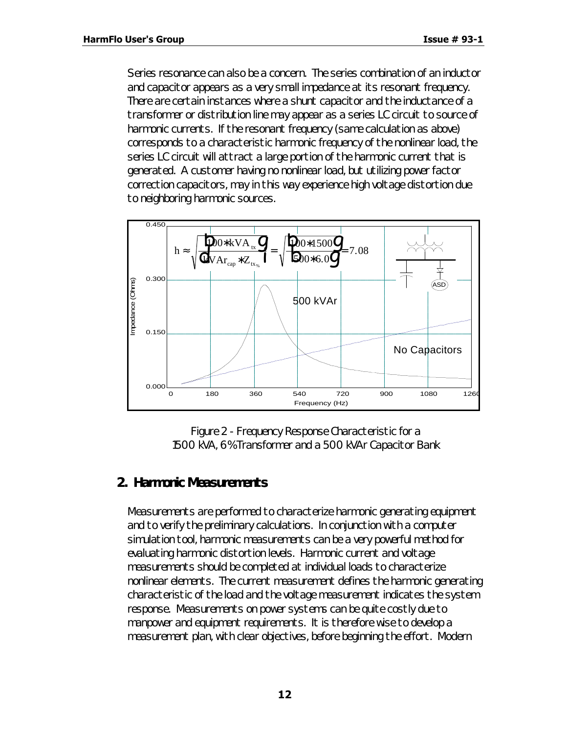Series resonance can also be a concern. The series combination of an inductor and capacitor appears as a very small impedance at its resonant frequency. There are certain instances where a shunt capacitor and the inductance of a transformer or distribution line may appear as a series LC circuit to source of harmonic currents. If the resonant frequency (same calculation as above) corresponds to a characteristic harmonic frequency of the nonlinear load, the series LC circuit will attract a large portion of the harmonic current that is generated. A customer having no nonlinear load, but utilizing power factor correction capacitors, may in this way experience high voltage distortion due to neighboring harmonic sources.



*Figure 2 - Frequency Response Characteristic for a 1500 kVA, 6% Transformer and a 500 kVAr Capacitor Bank*

#### **2. Harmonic Measurements**

Measurements are performed to characterize harmonic generating equipment and to verify the preliminary calculations. In conjunction with a computer simulation tool, harmonic measurements can be a very powerful method for evaluating harmonic distortion levels. Harmonic current and voltage measurements should be completed at individual loads to characterize nonlinear elements. The current measurement defines the harmonic generating characteristic of the load and the voltage measurement indicates the system response. Measurements on power systems can be quite costly due to manpower and equipment requirements. It is therefore wise to develop a measurement plan, with clear objectives, before beginning the effort. Modern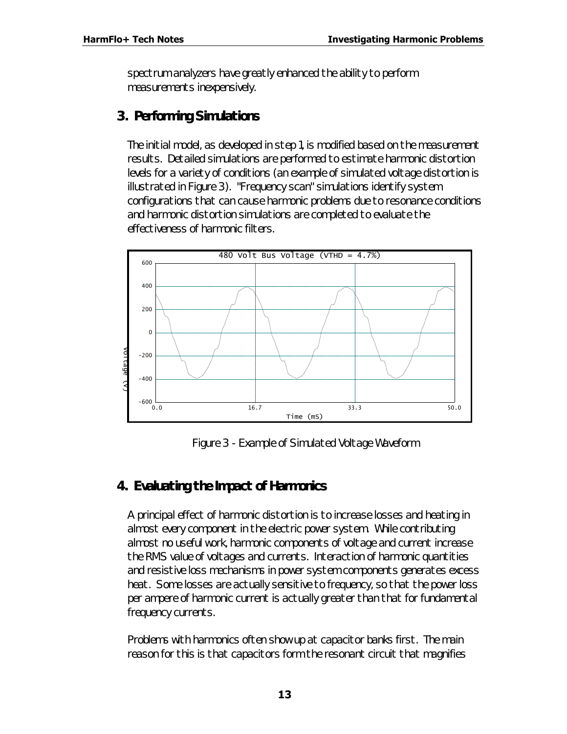spectrum analyzers have greatly enhanced the ability to perform measurements inexpensively.

#### **3. Performing Simulations**

The initial model, as developed in step 1, is modified based on the measurement results. Detailed simulations are performed to estimate harmonic distortion levels for a variety of conditions (an example of simulated voltage distortion is illustrated in Figure 3). "Frequency scan" simulations identify system configurations that can cause harmonic problems due to resonance conditions and harmonic distortion simulations are completed to evaluate the effectiveness of harmonic filters.



*Figure 3 - Example of Simulated Voltage Waveform*

## **4. Evaluating the Impact of Harmonics**

A principal effect of harmonic distortion is to increase losses and heating in almost every component in the electric power system. While contributing almost no useful work, harmonic components of voltage and current increase the RMS value of voltages and currents. Interaction of harmonic quantities and resistive loss mechanisms in power system components generates excess heat. Some losses are actually sensitive to frequency, so that the power loss per ampere of harmonic current is actually greater than that for fundamental frequency currents.

Problems with harmonics often show up at capacitor banks first. The main reason for this is that capacitors form the resonant circuit that magnifies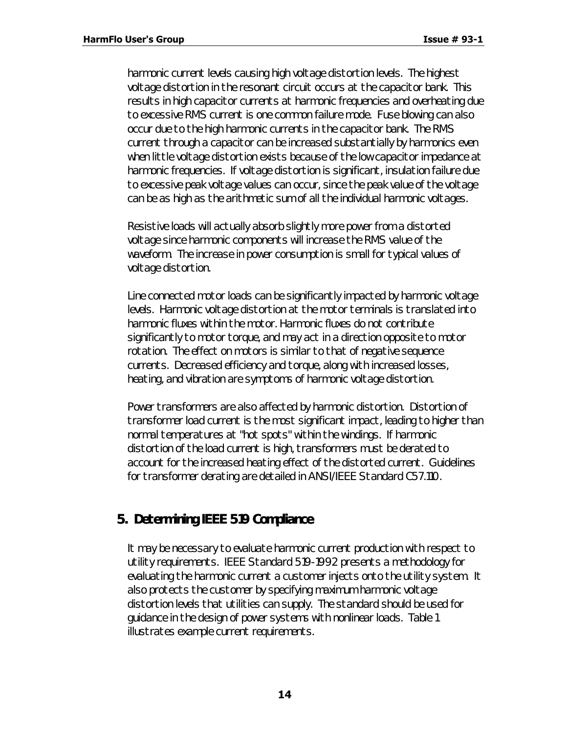harmonic current levels causing high voltage distortion levels. The highest voltage distortion in the resonant circuit occurs at the capacitor bank. This results in high capacitor currents at harmonic frequencies and overheating due to excessive RMS current is one common failure mode. Fuse blowing can also occur due to the high harmonic currents in the capacitor bank. The RMS current through a capacitor can be increased substantially by harmonics even when little voltage distortion exists because of the low capacitor impedance at harmonic frequencies. If voltage distortion is significant, insulation failure due to excessive peak voltage values can occur, since the peak value of the voltage can be as high as the arithmetic sum of all the individual harmonic voltages.

Resistive loads will actually absorb slightly more power from a distorted voltage since harmonic components will increase the RMS value of the waveform. The increase in power consumption is small for typical values of voltage distortion.

Line connected motor loads can be significantly impacted by harmonic voltage levels. Harmonic voltage distortion at the motor terminals is translated into harmonic fluxes within the motor. Harmonic fluxes do not contribute significantly to motor torque, and may act in a direction opposite to motor rotation. The effect on motors is similar to that of negative sequence currents. Decreased efficiency and torque, along with increased losses, heating, and vibration are symptoms of harmonic voltage distortion.

Power transformers are also affected by harmonic distortion. Distortion of transformer load current is the most significant impact, leading to higher than normal temperatures at "hot spots" within the windings. If harmonic distortion of the load current is high, transformers must be derated to account for the increased heating effect of the distorted current. Guidelines for transformer derating are detailed in ANSI/IEEE Standard C57.110.

#### **5. Determining IEEE 519 Compliance**

It may be necessary to evaluate harmonic current production with respect to utility requirements. IEEE Standard 519-1992 presents a methodology for evaluating the harmonic current a customer injects onto the utility system. It also protects the customer by specifying maximum harmonic voltage distortion levels that utilities can supply. The standard should be used for guidance in the design of power systems with nonlinear loads. Table 1 illustrates example current requirements.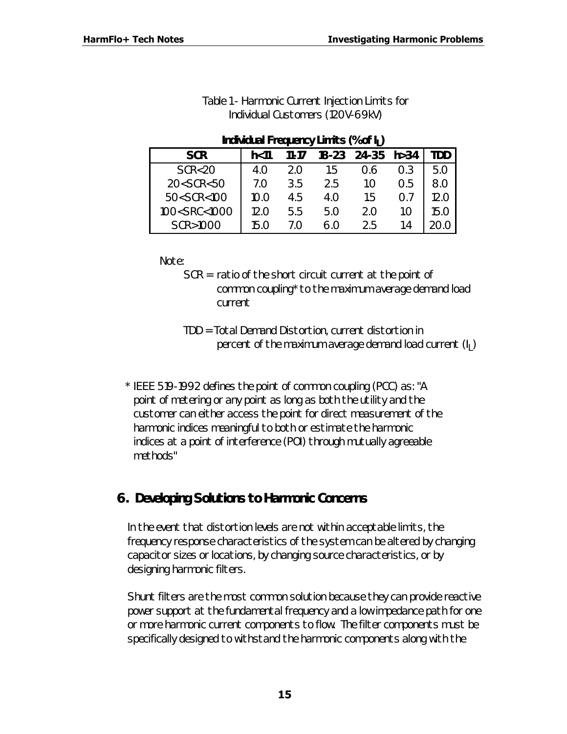| Individual Frequency Limits (% of $I_1$ )                                                                   |      |            |           |            |     |      |  |
|-------------------------------------------------------------------------------------------------------------|------|------------|-----------|------------|-----|------|--|
| <b>SCR</b>                                                                                                  | h<11 | 11-17      | $18 - 23$ | 24-35 h>34 |     | TDD  |  |
| SCR < 20                                                                                                    | 4.O  | 2.0        | 1.5       | 0.6        | 0.3 | 5.0  |  |
| 20 <scr<50< td=""><td>7.O</td><td>3.5</td><td>2.5</td><td>1.0</td><td>0.5</td><td>8.0</td></scr<50<>        | 7.O  | 3.5        | 2.5       | 1.0        | 0.5 | 8.0  |  |
| 50 <scr<100< td=""><td>10.0</td><td>4.5</td><td>4.O</td><td>1.5</td><td>0.7</td><td>12.O</td></scr<100<>    | 10.0 | 4.5        | 4.O       | 1.5        | 0.7 | 12.O |  |
| 100 <src<1000< td=""><td>12.0</td><td>5.5</td><td>5.0</td><td>2.0</td><td>1.0</td><td>15.O</td></src<1000<> | 12.0 | 5.5        | 5.0       | 2.0        | 1.0 | 15.O |  |
| SCR>1000                                                                                                    | 15.O | $\prime$ O | 60        | 2.5        | 14  |      |  |

#### *Table 1 - Harmonic Current Injection Limits for Individual Customers (120V-69kV)*

Note:

- SCR = ratio of the short circuit current at the point of common coupling\* to the maximum average demand load current
- TDD = Total Demand Distortion, current distortion in percent of the maximum average demand load current  $(\mathsf{l}_\mathsf{L})$
- *\* IEEE 519-1992 defines the point of common coupling (PCC) as: "A point of metering or any point as long as both the utility and the customer can either access the point for direct measurement of the harmonic indices meaningful to both or estimate the harmonic indices at a point of interference (POI) through mutually agreeable methods"*

## **6. Developing Solutions to Harmonic Concerns**

In the event that distortion levels are not within acceptable limits, the frequency response characteristics of the system can be altered by changing capacitor sizes or locations, by changing source characteristics, or by designing harmonic filters.

Shunt filters are the most common solution because they can provide reactive power support at the fundamental frequency and a low impedance path for one or more harmonic current components to flow. The filter components must be specifically designed to withstand the harmonic components along with the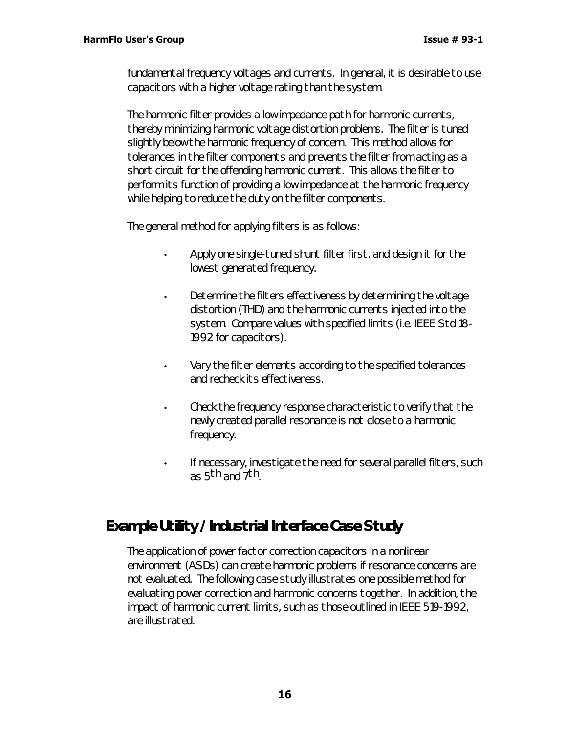fundamental frequency voltages and currents. In general, it is desirable to use capacitors with a higher voltage rating than the system.

The harmonic filter provides a low impedance path for harmonic currents, thereby minimizing harmonic voltage distortion problems. The filter is tuned slightly below the harmonic frequency of concern. This method allows for tolerances in the filter components and prevents the filter from acting as a short circuit for the offending harmonic current. This allows the filter to perform its function of providing a low impedance at the harmonic frequency while helping to reduce the duty on the filter components.

The general method for applying filters is as follows:

- Apply one single-tuned shunt filter first. and design it for the lowest generated frequency.
- Determine the filters effectiveness by determining the voltage distortion (THD) and the harmonic currents injected into the system. Compare values with specified limits (i.e. IEEE Std 18- 1992 for capacitors).
- Vary the filter elements according to the specified tolerances and recheck its effectiveness.
- Check the frequency response characteristic to verify that the newly created parallel resonance is not close to a harmonic frequency.
- If necessary, investigate the need for several parallel filters, such as 5<sup>th</sup> and 7<sup>th</sup>.

# *Example Utility / Industrial Interface Case Study*

The application of power factor correction capacitors in a nonlinear environment (ASDs) can create harmonic problems if resonance concerns are not evaluated. The following case study illustrates one possible method for evaluating power correction and harmonic concerns together. In addition, the impact of harmonic current limits, such as those outlined in IEEE 519-1992, are illustrated.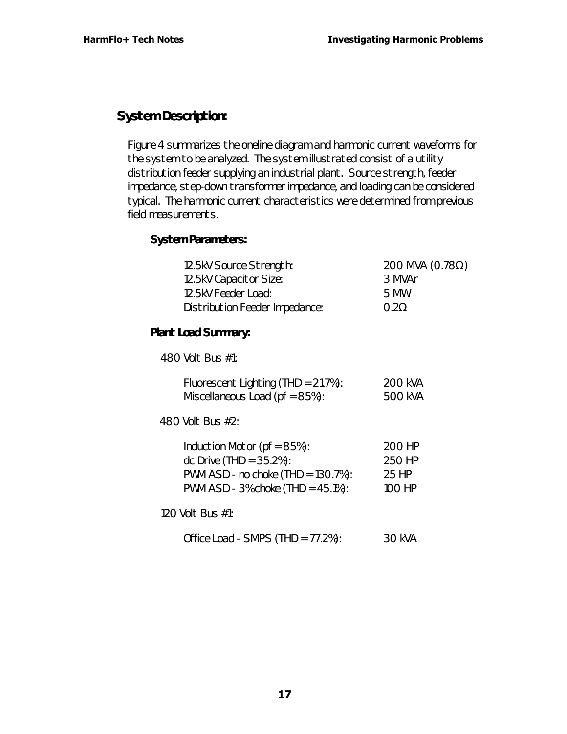## **System Description:**

Figure 4 summarizes the oneline diagram and harmonic current waveforms for the system to be analyzed. The system illustrated consist of a utility distribution feeder supplying an industrial plant. Source strength, feeder impedance, step-down transformer impedance, and loading can be considered typical. The harmonic current characteristics were determined from previous field measurements.

#### *System Parameters:*

| 12.5kV Source Strength:        | 200 MVA (0.78 $\Omega$ ) |
|--------------------------------|--------------------------|
| 12.5kV Capacitor Size:         | 3 MVAr                   |
| 12.5kV Feeder Load:            | 5 MW                     |
| Distribution Feeder Impedance: | $0.2\Omega$              |
|                                |                          |

#### *Plant Load Summary:*

480 Volt Bus #1:

| Fluorescent Lighting (THD = $21.7\%$ ): | 200 kVA |
|-----------------------------------------|---------|
| Miscellaneous Load ( $pf = 85\%$ ):     | 500 kVA |

480 Volt Bus #2:

| Induction Motor ( $pf = 85\%$ ):       | 200 HP |
|----------------------------------------|--------|
| dc Drive $(THD = 35.2%)$ :             | 250 HP |
| PWM ASD - no choke $(THD = 130.7\%)$ : | 25 HP  |
| PWM ASD - 3% choke $(THD = 45.1\%)$ :  | 100 HP |

120 Volt Bus #1:

Office Load - SMPS (THD = 77.2%): 30 kVA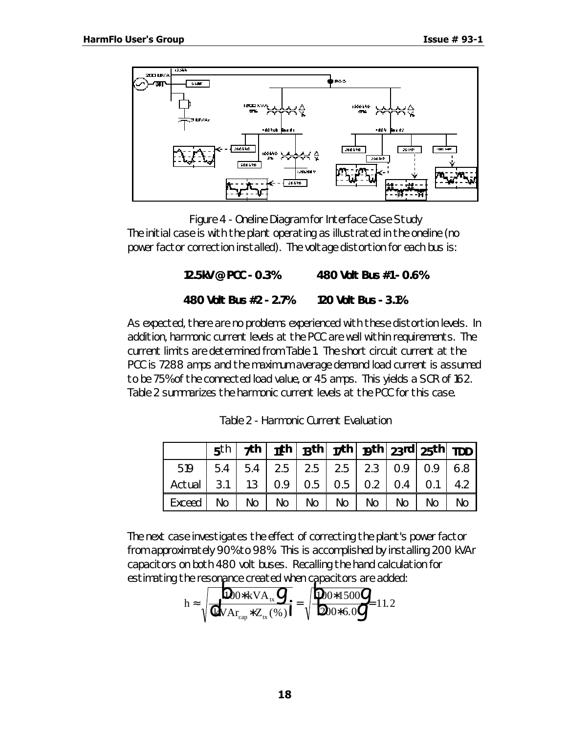

*Figure 4 - Oneline Diagram for Interface Case Study* The initial case is with the plant operating as illustrated in the oneline (no power factor correction installed). The voltage distortion for each bus is:

**12.5kV @ PCC - 0.3% 480 Volt Bus #1 - 0.6%**

#### **480 Volt Bus #2 - 2.7% 120 Volt Bus - 3.1%**

As expected, there are no problems experienced with these distortion levels. In addition, harmonic current levels at the PCC are well within requirements. The current limits are determined from Table 1. The short circuit current at the PCC is 7288 amps and the maximum average demand load current is assumed to be 75% of the connected load value, or 45 amps. This yields a SCR of 162. Table 2 summarizes the harmonic current levels at the PCC for this case.

|                                                  |  |                             |  | $5^{\text{th}}$   7th   11th   13th   17th   19th   23rd   25th   TDD                                       |    |
|--------------------------------------------------|--|-----------------------------|--|-------------------------------------------------------------------------------------------------------------|----|
| 519                                              |  |                             |  | $\vert$ 5.4 $\vert$ 5.4 $\vert$ 2.5 $\vert$ 2.5 $\vert$ 2.5 $\vert$ 2.3 $\vert$ 0.9 $\vert$ 0.9 $\vert$ 6.8 |    |
| Actual   3.1   1.3   0.9   0.5   0.5   0.2   0.4 |  |                             |  | $0.1$   4.2                                                                                                 |    |
| Exceed   No                                      |  | No   No   No   No   No   No |  | No                                                                                                          | No |

*Table 2 - Harmonic Current Evaluation*

The next case investigates the effect of correcting the plant's power factor from approximately 90% to 98%. This is accomplished by installing 200 kVAr capacitors on both 480 volt buses. Recalling the hand calculation for

estimating the resonance created when capacitors are added:  
\n
$$
h \approx \sqrt{\frac{D_{0} * kVA_{tx}}{QVA_{cap} * Z_{tx}(\%)1}} = \sqrt{\frac{D_{0} * 1500}{Q_0 * 6.0}} = 11.2
$$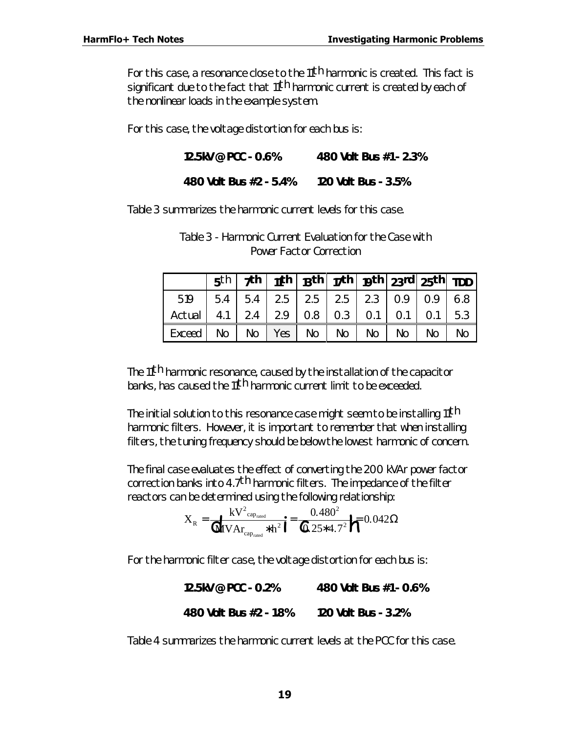For this case, a resonance close to the 11<sup>th</sup> harmonic is created. This fact is significant due to the fact that 11<sup>th</sup> harmonic current is created by each of the nonlinear loads in the example system.

For this case, the voltage distortion for each bus is:

**12.5kV @ PCC - 0.6% 480 Volt Bus #1 - 2.3%**

**480 Volt Bus #2 - 5.4% 120 Volt Bus - 3.5%**

Table 3 summarizes the harmonic current levels for this case.

|                                                              |     |    |          |    |    |    | $5^{\text{th}}$   7th   11th   13th   17th   19th   23rd   25th   TDD |    |
|--------------------------------------------------------------|-----|----|----------|----|----|----|-----------------------------------------------------------------------|----|
| $519$   5.4   5.4   2.5   2.5   2.5   2.3   0.9   0.9   6.8  |     |    |          |    |    |    |                                                                       |    |
| Actual   4.1   2.4   2.9   0.8   0.3   0.1   0.1   0.1   5.3 |     |    |          |    |    |    |                                                                       |    |
| Exceed                                                       | No. | No | Yes   No | No | No | No | No.                                                                   | No |

*Table 3 - Harmonic Current Evaluation for the Case with Power Factor Correction*

The 11th harmonic resonance, caused by the installation of the capacitor banks, has caused the 11th harmonic current limit to be exceeded.

The initial solution to this resonance case might seem to be installing 11<sup>th</sup> harmonic filters. However, it is important to remember that when installing filters, the tuning frequency should be below the lowest harmonic of concern.

The final case evaluates the effect of converting the 200 kVAr power factor correction banks into 4.7<sup>th</sup> harmonic filters. The impedance of the filter reactors can be determined using the following relationship:

$$
X_{R} = \frac{kV^{2}{}_{cap_{raded}}}{{\bf \textbf{A}}V A_{r_{cap_{raded}}} * h^{2}} = \frac{0.480^{2}}{0.25 * 4.7^{2}} \sqrt{\tau} 0.042 \Omega
$$

For the harmonic filter case, the voltage distortion for each bus is:

**12.5kV @ PCC - 0.2% 480 Volt Bus #1 - 0.6% 480 Volt Bus #2 - 1.8% 120 Volt Bus - 3.2%**

Table 4 summarizes the harmonic current levels at the PCC for this case.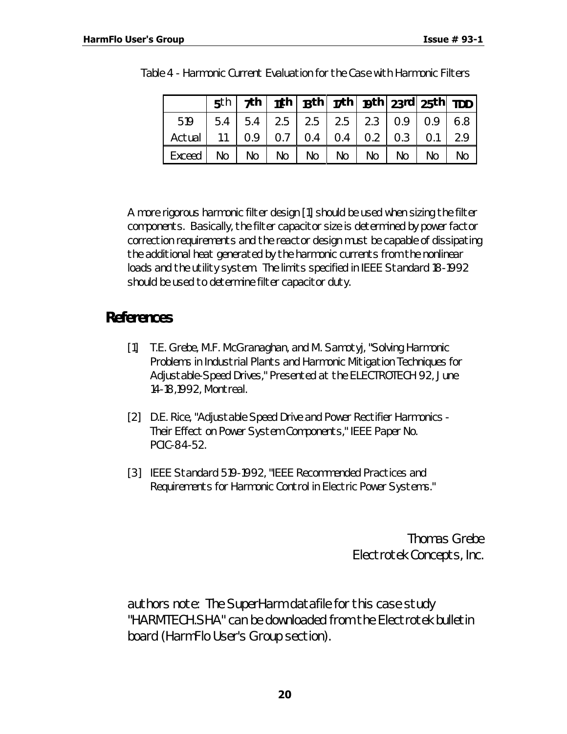|                            |    |             | $5^{\text{th}}$   7th   11th   13th   17th   19th   23rd   25th   TDD |             |    |    |                               |     |
|----------------------------|----|-------------|-----------------------------------------------------------------------|-------------|----|----|-------------------------------|-----|
| 519                        |    |             | $5.4$   $5.4$   $2.5$   $2.5$   $2.5$   $2.3$   $0.9$   $0.9$   6.8   |             |    |    |                               |     |
| Actual $\vert$ 1.1 $\vert$ |    | $0.9$   0.7 |                                                                       |             |    |    | $0.4$   0.4   0.2   0.3   0.1 | 2.9 |
| Exceed                     | No | No   No     |                                                                       | $No$   $No$ | No | No | No                            | No  |

| Table 4 - Harmonic Current Evaluation for the Case with Harmonic Filters |  |
|--------------------------------------------------------------------------|--|
|--------------------------------------------------------------------------|--|

A more rigorous harmonic filter design [1] should be used when sizing the filter components. Basically, the filter capacitor size is determined by power factor correction requirements and the reactor design must be capable of dissipating the additional heat generated by the harmonic currents from the nonlinear loads and the utility system. The limits specified in IEEE Standard 18-1992 should be used to determine filter capacitor duty.

# *References*

- [1] T.E. Grebe, M.F. McGranaghan, and M. Samotyj, "Solving Harmonic Problems in Industrial Plants and Harmonic Mitigation Techniques for Adjustable-Speed Drives," Presented at the ELECTROTECH 92, June 14-18,1992, Montreal.
- [2] D.E. Rice, "Adjustable Speed Drive and Power Rectifier Harmonics Their Effect on Power System Components," IEEE Paper No. PCIC-84-52.
- [3] IEEE Standard 519-1992, "IEEE Recommended Practices and Requirements for Harmonic Control in Electric Power Systems."

 *Thomas Grebe Electrotek Concepts, Inc.*

*authors note: The SuperHarm datafile for this case study "HARMTECH.SHA" can be downloaded from the Electrotek bulletin board (HarmFlo User's Group section).*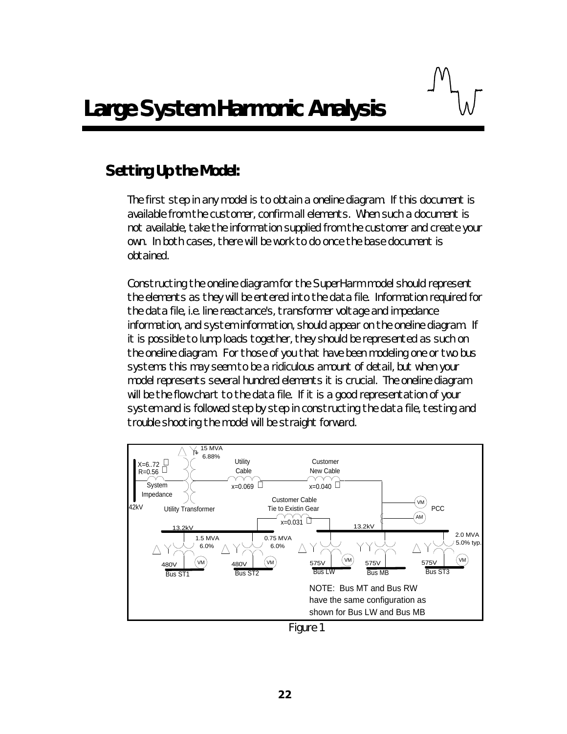# *Setting Up the Model:*

The first step in any model is to obtain a oneline diagram. If this document is available from the customer, confirm all elements. When such a document is not available, take the information supplied from the customer and create your own. In both cases, there will be work to do once the base document is obtained.

Constructing the oneline diagram for the SuperHarm model should represent the elements as they will be entered into the data file. Information required for the data file, i.e. line reactance's, transformer voltage and impedance information, and system information, should appear on the oneline diagram. If it is possible to lump loads together, they should be represented as such on the oneline diagram. For those of you that have been modeling one or two bus systems this may seem to be a ridiculous amount of detail, but when your model represents several hundred elements it is crucial. The oneline diagram will be the flow chart to the data file. If it is a good representation of your system and is followed step by step in constructing the data file, testing and trouble shooting the model will be straight forward.



*Figure 1*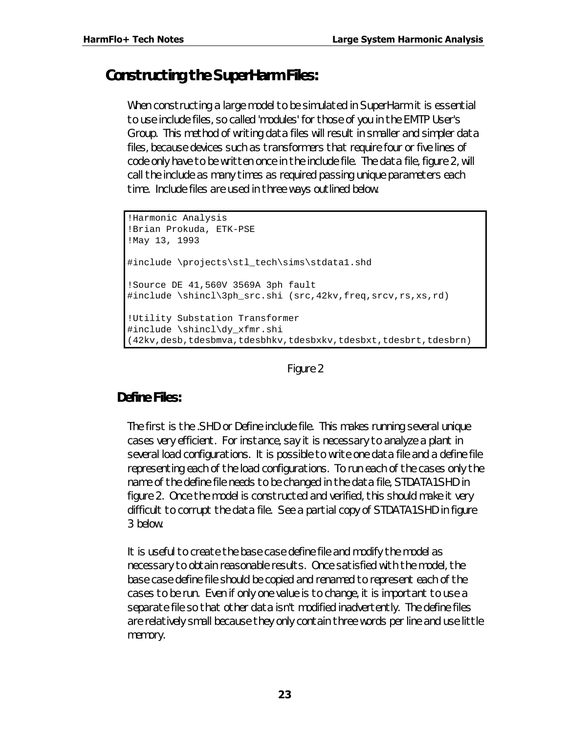# *Constructing the SuperHarm Files:*

When constructing a large model to be simulated in SuperHarm it is essential to use include files, so called 'modules' for those of you in the EMTP User's Group. This method of writing data files will result in smaller and simpler data files, because devices such as transformers that require four or five lines of code only have to be written once in the include file. The data file, figure 2, will call the include as many times as required passing unique parameters each time. Include files are used in three ways outlined below.

```
!Harmonic Analysis
!Brian Prokuda, ETK-PSE
!May 13, 1993
#include \projects\stl_tech\sims\stdata1.shd
!Source DE 41,560V 3569A 3ph fault
#include \shincl\3ph_src.shi (src,42kv,freq,srcv,rs,xs,rd)
!Utility Substation Transformer
#include \shincl\dy_xfmr.shi
(42kv,desb,tdesbmva,tdesbhkv,tdesbxkv,tdesbxt,tdesbrt,tdesbrn)
```
#### *Figure 2*

#### **Define Files:**

The first is the .SHD or Define include file. This makes running several unique cases very efficient. For instance, say it is necessary to analyze a plant in several load configurations. It is possible to write one data file and a define file representing each of the load configurations. To run each of the cases only the name of the define file needs to be changed in the data file, STDATA1.SHD in figure 2. Once the model is constructed and verified, this should make it very difficult to corrupt the data file. See a partial copy of STDATA1.SHD in figure 3 below.

It is useful to create the base case define file and modify the model as necessary to obtain reasonable results. Once satisfied with the model, the base case define file should be copied and renamed to represent each of the cases to be run. Even if only one value is to change, it is important to use a separate file so that other data isn't modified inadvertently. The define files are relatively small because they only contain three words per line and use little memory.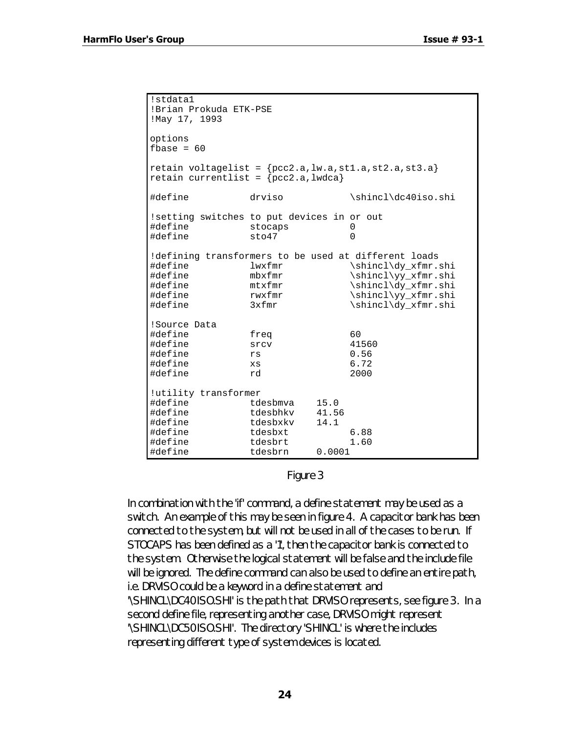```
!stdata1
!Brian Prokuda ETK-PSE
!May 17, 1993
options
fbase = 60retain voltagelist = {pcc2.a, lw.a, st1.a, st2.a, st3.a}retain currentlist = {pcc2.a, lwdca}#define drviso \shincl\dc40iso.shi
!setting switches to put devices in or out
#define stocaps 0<br>#define sto47 0
#define stab47!defining transformers to be used at different loads
#define lwxfmr \shincl\dy_xfmr.shi
#define mbxfmr \shincl\yy_xfmr.shi<br>#define mtxfmr \shincl\dy_xfmr.shi
#define mtxfmr \shincl\dy_xfmr.shi
define rwxfmr \shincl\yy_xfmr.shi#define 3xfmr
                             \shincl\dy_xfmr.shi
!Source Data
#define freq 60
#define srcv 4156<br>#define rs 0.56
#define rs 0.56
#define xs 6.72
#define rd 2000
!utility transformer
#define tdesbmva 15.0
#define tdesbhkv 41.56
#define tdesbxkv<br>#define tdesbxt
#define tdesbxt 6.88
#define tdesbrt<br>#define tdesbrn
             tdesbrn 0.0001
```
*Figure 3*

In combination with the 'if' command, a define statement may be used as a switch. An example of this may be seen in figure 4. A capacitor bank has been connected to the system, but will not be used in all of the cases to be run. If STOCAPS has been defined as a '1', then the capacitor bank is connected to the system. Otherwise the logical statement will be false and the include file will be ignored. The define command can also be used to define an entire path, i.e. DRVISO could be a keyword in a define statement and '\SHINCL\DC40ISO.SHI' is the path that DRVISO represents, see figure 3. In a second define file, representing another case, DRVISO might represent '\SHINCL\DC50ISO.SHI'. The directory 'SHINCL' is where the includes representing different type of system devices is located.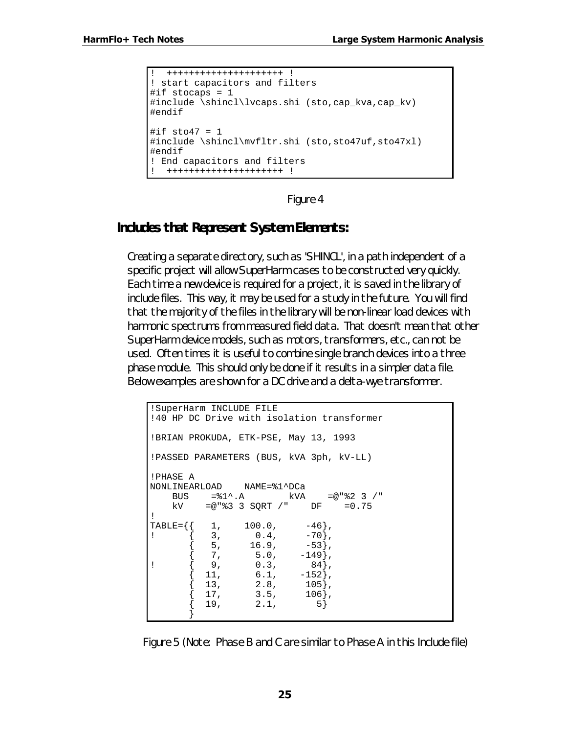```
! +++++++++++++++++++++ !
! start capacitors and filters
#if stocaps = 1#include \shincl\lvcaps.shi (sto,cap kva,cap kv)
#endif
#if sto47 = 1#include \shincl\mvfltr.shi (sto,sto47uf,sto47xl)
#endif
! End capacitors and filters
  ! +++++++++++++++++++++ !
```
*Figure 4*

#### **Includes that Represent System Elements:**

Creating a separate directory, such as 'SHINCL', in a path independent of a specific project will allow SuperHarm cases to be constructed very quickly. Each time a new device is required for a project, it is saved in the library of include files. This way, it may be used for a study in the future. You will find that the majority of the files in the library will be non-linear load devices with harmonic spectrums from measured field data. That doesn't mean that other SuperHarm device models, such as motors, transformers, etc., can not be used. Often times it is useful to combine single branch devices into a three phase module. This should only be done if it results in a simpler data file. Below examples are shown for a DC drive and a delta-wye transformer.

```
!SuperHarm INCLUDE FILE
!40 HP DC Drive with isolation transformer
!BRIAN PROKUDA, ETK-PSE, May 13, 1993
!PASSED PARAMETERS (BUS, kVA 3ph, kV-LL)
!PHASE A
NONLINEARLOAD NAME=%1^DCa
    BUS =\$1^{\wedge}.A kVA =@"\$2 3 /"
     kV =@"%3 3 SQRT /" DF =0.75
!
TABLE=\{\begin{pmatrix} 1, & 100.0, & -46 \end{pmatrix}, \;<br>
\{ \begin{pmatrix} 3, & 0.4, & -70 \end{pmatrix}, \;! \begin{bmatrix} 3 \\ 0.4 \\ -70 \end{bmatrix}\{ 5, 16.9, -53 \}\left\{ \quad\,7\,,\qquad\quad\,5.0\,,\qquad –149},
! \{ 9, 0.3, 84 \},\{ 11, 6.1, -152 \},
            \begin{array}{cccc} 13\,, & \quad & 2.8\,, & \quad & 105\}\,, \\ 17\,, & \quad & 3.5\,, & \quad & 106\}\,, \end{array}3.5,{19,} 2.1, 5} }
```
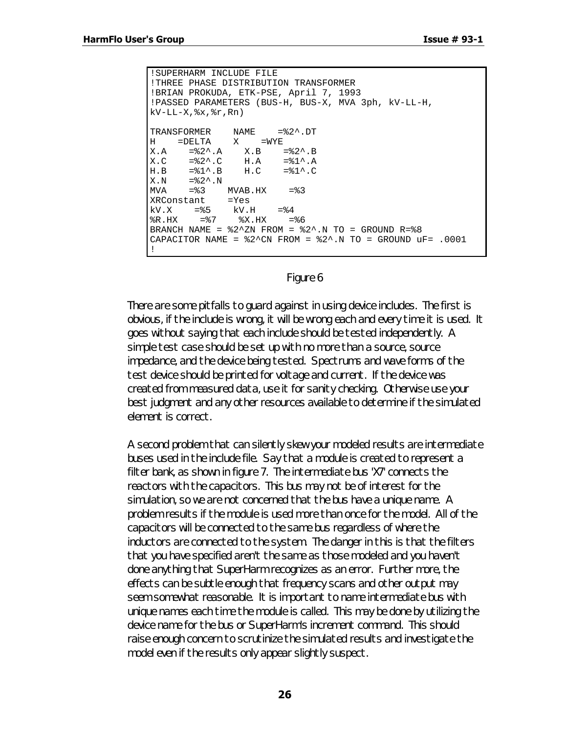```
!SUPERHARM INCLUDE FILE
!THREE PHASE DISTRIBUTION TRANSFORMER
!BRIAN PROKUDA, ETK-PSE, April 7, 1993
!PASSED PARAMETERS (BUS-H, BUS-X, MVA 3ph, kV-LL-H,
kV-LL-X, x, \xi r, Rn)TRANSFORMER NAME =%2^.DT
H =DELTA X =WYE
X.A = \$2^{\wedge}.A \qquad X.B = \$2^{\wedge}.BX.C =%2^.C H.A =%1^.A
H.B = \$1^{\wedge}.B \qquad H.C = \$1^{\wedge}.CX.N = %2^{\wedge}.N<br>MVA = %3= 83 MVAB.HX = 83XRConstant =Yes
      =%5 kV.H =%4<br>=%7 %X.HX =
R.HX = 87 8X.HX = 86BRANCH NAME = $2^xN FROM = $2^xN TO = GROUND R=$8CAPACITOR NAME = $2^cN FROM = $2^cN.N TO = GROUND uF= .0001
!
```
#### *Figure 6*

There are some pitfalls to guard against in using device includes. The first is obvious, if the include is wrong, it will be wrong each and every time it is used. It goes without saying that each include should be tested independently. A simple test case should be set up with no more than a source, source impedance, and the device being tested. Spectrums and wave forms of the test device should be printed for voltage and current. If the device was created from measured data, use it for sanity checking. Otherwise use your best judgment and any other resources available to determine if the simulated element is correct.

A second problem that can silently skew your modeled results are intermediate buses used in the include file. Say that a module is created to represent a filter bank, as shown in figure 7. The intermediate bus 'X7' connects the reactors with the capacitors. This bus may not be of interest for the simulation, so we are not concerned that the bus have a unique name. A problem results if the module is used more than once for the model. All of the capacitors will be connected to the same bus regardless of where the inductors are connected to the system. The danger in this is that the filters that you have specified aren't the same as those modeled and you haven't done anything that SuperHarm recognizes as an error. Further more, the effects can be subtle enough that frequency scans and other output may seem somewhat reasonable. It is important to name intermediate bus with unique names each time the module is called. This may be done by utilizing the device name for the bus or SuperHarm's increment command. This should raise enough concern to scrutinize the simulated results and investigate the model even if the results only appear slightly suspect.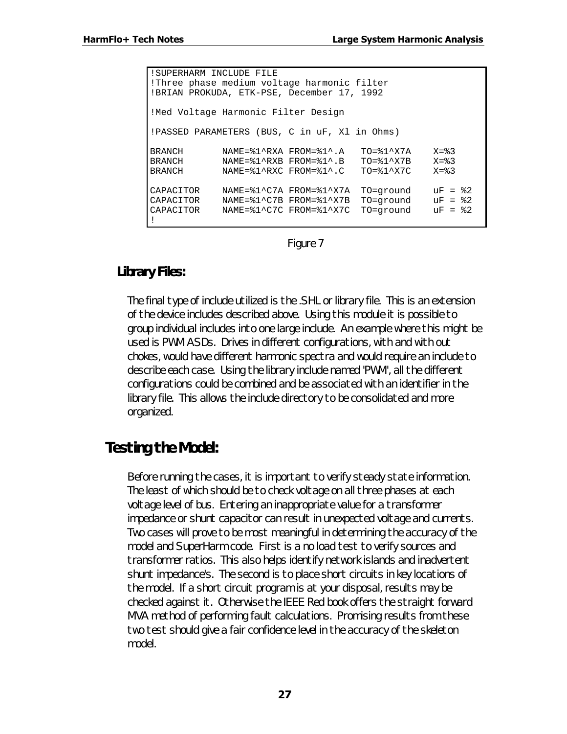!SUPERHARM INCLUDE FILE !Three phase medium voltage harmonic filter !BRIAN PROKUDA, ETK-PSE, December 17, 1992 !Med Voltage Harmonic Filter Design !PASSED PARAMETERS (BUS, C in uF, Xl in Ohms) BRANCH MAME=%1^RXA FROM=%1^.A TO=%1^X7A X=%3<br>BRANCH NAME=%1^RXB FROM=%1^.B TO=%1^X7B X=%3<br>BRANCH NAME=%1^RXC FROM=%1^.C TO=%1^X7C X=%3 BRANCH NAME=%1^RXB FROM=%1^.B TO=%1^X7B X=%3 BRANCH NAME=%1^RXC FROM=%1^.C TO=%1^X7C X=%3 CAPACITOR NAME=%1^C7A FROM=%1^X7A TO=ground uF = %2 CAPACITOR NAME=%1^C7B FROM=%1^X7B TO=ground uF = %2 CAPACITOR NAME=%1^C7C FROM=%1^X7C TO=ground uF = %2 !

*Figure 7*

#### **Library Files:**

The final type of include utilized is the .SHL or library file. This is an extension of the device includes described above. Using this module it is possible to group individual includes into one large include. An example where this might be used is PWM ASDs. Drives in different configurations, with and with out chokes, would have different harmonic spectra and would require an include to describe each case. Using the library include named 'PWM', all the different configurations could be combined and be associated with an identifier in the library file. This allows the include directory to be consolidated and more organized.

# *Testing the Model:*

Before running the cases, it is important to verify steady state information. The least of which should be to check voltage on all three phases at each voltage level of bus. Entering an inappropriate value for a transformer impedance or shunt capacitor can result in unexpected voltage and currents. Two cases will prove to be most meaningful in determining the accuracy of the model and SuperHarm code. First is a no load test to verify sources and transformer ratios. This also helps identify network islands and inadvertent shunt impedance's. The second is to place short circuits in key locations of the model. If a short circuit program is at your disposal, results may be checked against it. Otherwise the IEEE Red book offers the straight forward MVA method of performing fault calculations. Promising results from these two test should give a fair confidence level in the accuracy of the skeleton model.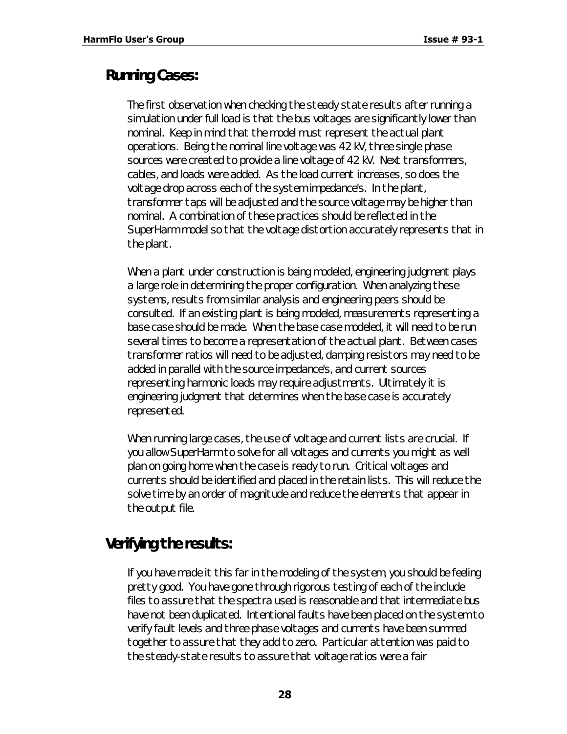## *Running Cases:*

The first observation when checking the steady state results after running a simulation under full load is that the bus voltages are significantly lower than nominal. Keep in mind that the model must represent the actual plant operations. Being the nominal line voltage was 42 kV, three single phase sources were created to provide a line voltage of 42 kV. Next transformers, cables, and loads were added. As the load current increases, so does the voltage drop across each of the system impedance's. In the plant, transformer taps will be adjusted and the source voltage may be higher than nominal. A combination of these practices should be reflected in the SuperHarm model so that the voltage distortion accurately represents that in the plant.

When a plant under construction is being modeled, engineering judgment plays a large role in determining the proper configuration. When analyzing these systems, results from similar analysis and engineering peers should be consulted. If an existing plant is being modeled, measurements representing a base case should be made. When the base case modeled, it will need to be run several times to become a representation of the actual plant. Between cases transformer ratios will need to be adjusted, damping resistors may need to be added in parallel with the source impedance's, and current sources representing harmonic loads may require adjustments. Ultimately it is engineering judgment that determines when the base case is accurately represented.

When running large cases, the use of voltage and current lists are crucial. If you allow SuperHarm to solve for all voltages and currents you might as well plan on going home when the case is ready to run. Critical voltages and currents should be identified and placed in the retain lists. This will reduce the solve time by an order of magnitude and reduce the elements that appear in the output file.

# *Verifying the results:*

If you have made it this far in the modeling of the system, you should be feeling pretty good. You have gone through rigorous testing of each of the include files to assure that the spectra used is reasonable and that intermediate bus have not been duplicated. Intentional faults have been placed on the system to verify fault levels and three phase voltages and currents have been summed together to assure that they add to zero. Particular attention was paid to the steady-state results to assure that voltage ratios were a fair